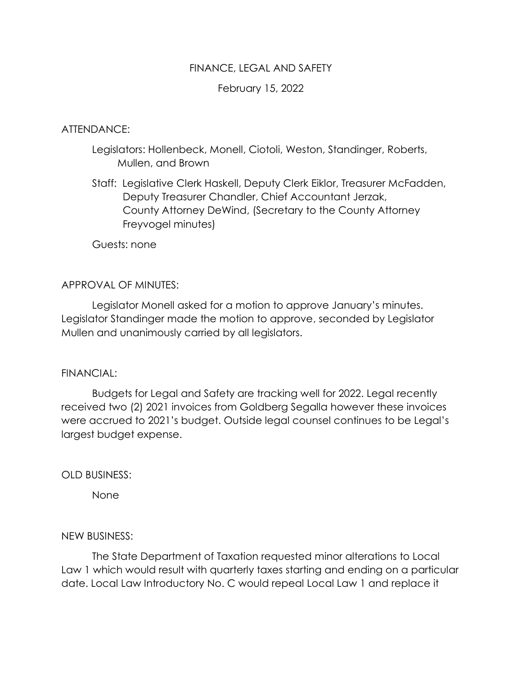## FINANCE, LEGAL AND SAFETY

# February 15, 2022

### ATTENDANCE:

- Legislators: Hollenbeck, Monell, Ciotoli, Weston, Standinger, Roberts, Mullen, and Brown
- Staff: Legislative Clerk Haskell, Deputy Clerk Eiklor, Treasurer McFadden, Deputy Treasurer Chandler, Chief Accountant Jerzak, County Attorney DeWind, (Secretary to the County Attorney Freyvogel minutes)

Guests: none

### APPROVAL OF MINUTES:

Legislator Monell asked for a motion to approve January's minutes. Legislator Standinger made the motion to approve, seconded by Legislator Mullen and unanimously carried by all legislators.

#### FINANCIAL:

Budgets for Legal and Safety are tracking well for 2022. Legal recently received two (2) 2021 invoices from Goldberg Segalla however these invoices were accrued to 2021's budget. Outside legal counsel continues to be Legal's largest budget expense.

OLD BUSINESS:

None

#### NEW BUSINESS:

The State Department of Taxation requested minor alterations to Local Law 1 which would result with quarterly taxes starting and ending on a particular date. Local Law Introductory No. C would repeal Local Law 1 and replace it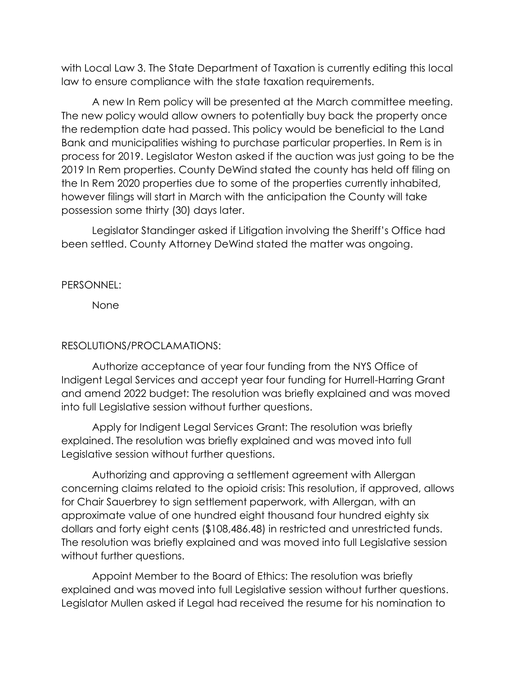with Local Law 3. The State Department of Taxation is currently editing this local law to ensure compliance with the state taxation requirements.

A new In Rem policy will be presented at the March committee meeting. The new policy would allow owners to potentially buy back the property once the redemption date had passed. This policy would be beneficial to the Land Bank and municipalities wishing to purchase particular properties. In Rem is in process for 2019. Legislator Weston asked if the auction was just going to be the 2019 In Rem properties. County DeWind stated the county has held off filing on the In Rem 2020 properties due to some of the properties currently inhabited, however filings will start in March with the anticipation the County will take possession some thirty (30) days later.

Legislator Standinger asked if Litigation involving the Sheriff's Office had been settled. County Attorney DeWind stated the matter was ongoing.

PERSONNEL:

None

# RESOLUTIONS/PROCLAMATIONS:

Authorize acceptance of year four funding from the NYS Office of Indigent Legal Services and accept year four funding for Hurrell-Harring Grant and amend 2022 budget: The resolution was briefly explained and was moved into full Legislative session without further questions.

Apply for Indigent Legal Services Grant: The resolution was briefly explained. The resolution was briefly explained and was moved into full Legislative session without further questions.

Authorizing and approving a settlement agreement with Allergan concerning claims related to the opioid crisis: This resolution, if approved, allows for Chair Sauerbrey to sign settlement paperwork, with Allergan, with an approximate value of one hundred eight thousand four hundred eighty six dollars and forty eight cents (\$108,486.48) in restricted and unrestricted funds. The resolution was briefly explained and was moved into full Legislative session without further questions.

Appoint Member to the Board of Ethics: The resolution was briefly explained and was moved into full Legislative session without further questions. Legislator Mullen asked if Legal had received the resume for his nomination to